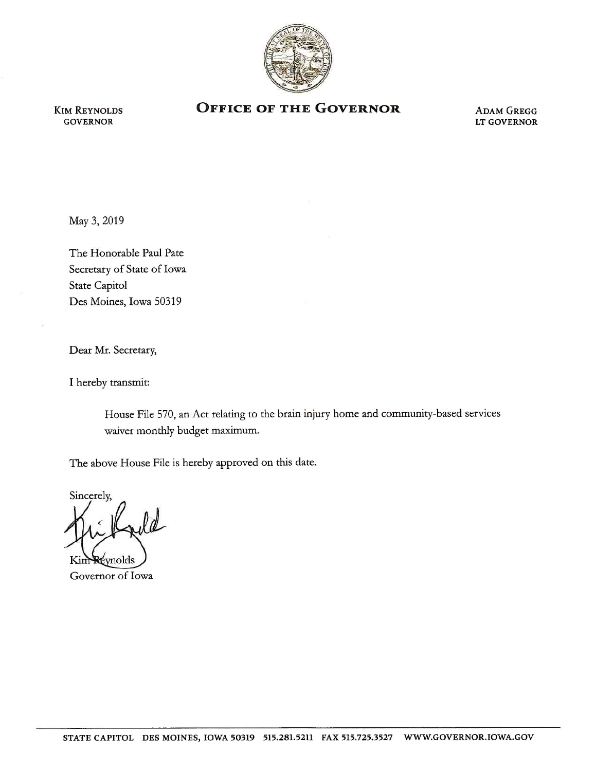

KIM REYNOLDS GOVERNOR

## **OFFICE OF THE GOVERNOR** ADAM GREGG

LT GOVERNOR

May 3, 2019

The Honorable Paul Pate Secretary of State of Iowa State Capitol Des Moines, Iowa 50319

Dear Mr. Secretary,

I hereby transmit:

House File 570, an Act relating to the brain injury home and community-based services waiver monthly budget maximum.

The above House File is hereby approved on this date.

Sincerely,  $\ell d$ vnolds

Governor of Iowa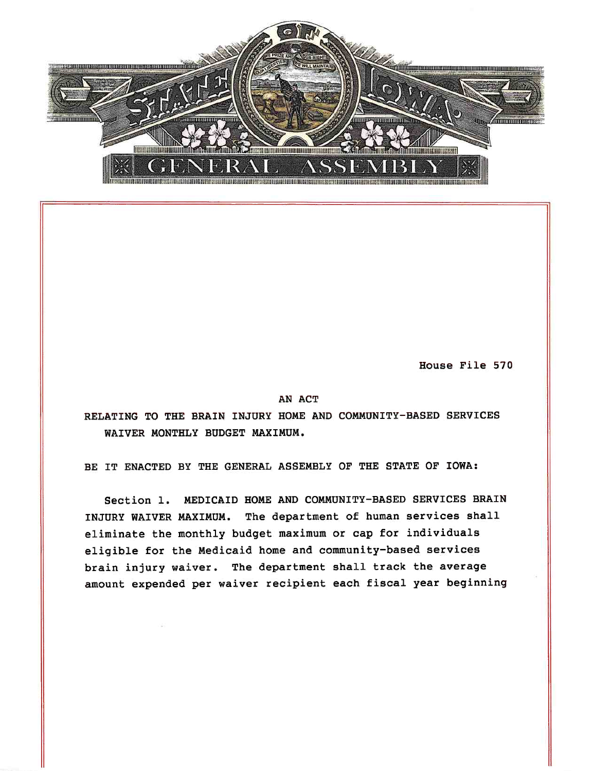

House File 570

## AN ACT

RELATING TO THE BRAIN INJURY HOME AND COMMUNITY-BASED SERVICES WAIVER MONTHLY BUDGET MAXIMUM.

BE IT ENACTED BY THE GENERAL ASSEMBLY OF THE STATE OF IOWA:

Section 1. MEDICAID HOME AND COMMUNITY-BASED SERVICES BRAIN INJURY WAIVER MAXIMUM. The department of human services shall eliminate the monthly budget maximum or cap for individuals eligible for the Medicaid home and community-based services brain injury waiver. The department shall track the average amount expended per waiver recipient each fiscal year beginning